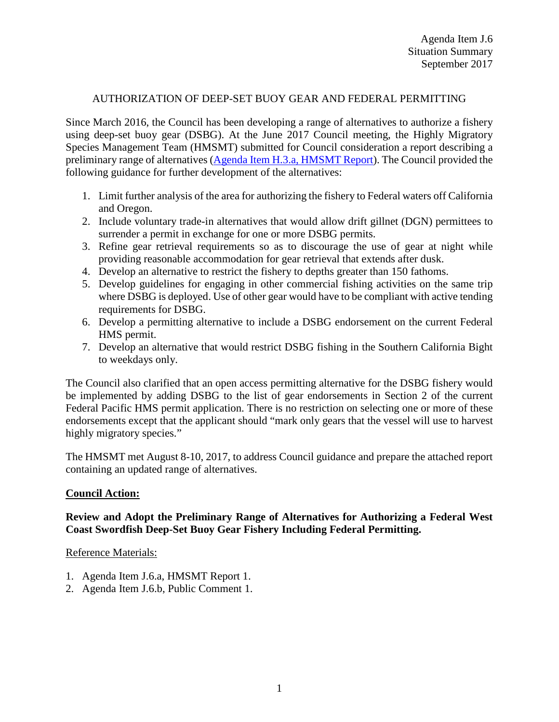### AUTHORIZATION OF DEEP-SET BUOY GEAR AND FEDERAL PERMITTING

Since March 2016, the Council has been developing a range of alternatives to authorize a fishery using deep-set buoy gear (DSBG). At the June 2017 Council meeting, the Highly Migratory Species Management Team (HMSMT) submitted for Council consideration a report describing a preliminary range of alternatives [\(Agenda Item H.3.a, HMSMT Report\)](http://www.pcouncil.org/wp-content/uploads/2017/05/H3a_HMSMT_Rpt_DSBG_ROA_Jun2017BB.pdf). The Council provided the following guidance for further development of the alternatives:

- 1. Limit further analysis of the area for authorizing the fishery to Federal waters off California and Oregon.
- 2. Include voluntary trade-in alternatives that would allow drift gillnet (DGN) permittees to surrender a permit in exchange for one or more DSBG permits.
- 3. Refine gear retrieval requirements so as to discourage the use of gear at night while providing reasonable accommodation for gear retrieval that extends after dusk.
- 4. Develop an alternative to restrict the fishery to depths greater than 150 fathoms.
- 5. Develop guidelines for engaging in other commercial fishing activities on the same trip where DSBG is deployed. Use of other gear would have to be compliant with active tending requirements for DSBG.
- 6. Develop a permitting alternative to include a DSBG endorsement on the current Federal HMS permit.
- 7. Develop an alternative that would restrict DSBG fishing in the Southern California Bight to weekdays only.

The Council also clarified that an open access permitting alternative for the DSBG fishery would be implemented by adding DSBG to the list of gear endorsements in Section 2 of the current Federal Pacific HMS permit application. There is no restriction on selecting one or more of these endorsements except that the applicant should "mark only gears that the vessel will use to harvest highly migratory species."

The HMSMT met August 8-10, 2017, to address Council guidance and prepare the attached report containing an updated range of alternatives.

# **Council Action:**

# **Review and Adopt the Preliminary Range of Alternatives for Authorizing a Federal West Coast Swordfish Deep-Set Buoy Gear Fishery Including Federal Permitting.**

#### Reference Materials:

- 1. Agenda Item J.6.a, HMSMT Report 1.
- 2. Agenda Item J.6.b, Public Comment 1.